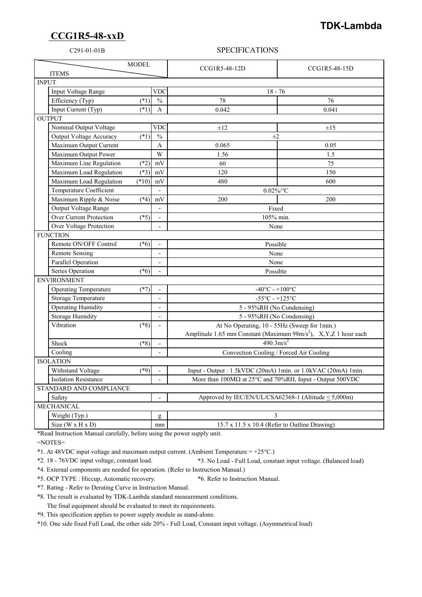## **CCG1R5-48-xxD**

## **TDK-Lambda**

## C291-01-01B SPECIFICATIONS

| <b>MODEL</b><br><b>ITEMS</b>             |                          | CCG1R5-48-12D                                                                                                               | CCG1R5-48-15D |
|------------------------------------------|--------------------------|-----------------------------------------------------------------------------------------------------------------------------|---------------|
| <b>INPUT</b>                             |                          |                                                                                                                             |               |
| Input Voltage Range                      | <b>VDC</b>               | $18 - 76$                                                                                                                   |               |
| Efficiency (Typ)<br>$(*1)$               | $\frac{0}{0}$            | 78                                                                                                                          | 76            |
| Input Current (Typ)<br>$(*1)$            | A                        | 0.042                                                                                                                       | 0.041         |
| <b>OUTPUT</b>                            |                          |                                                                                                                             |               |
| Nominal Output Voltage                   | <b>VDC</b>               | $\pm 12$                                                                                                                    | $\pm 15$      |
| <b>Output Voltage Accuracy</b><br>$(*1)$ | $\frac{0}{0}$            | $\pm 2$                                                                                                                     |               |
| Maximum Output Current                   | A                        | 0.065                                                                                                                       | 0.05          |
| Maximum Output Power                     | W                        | 1.56                                                                                                                        | 1.5           |
| Maximum Line Regulation<br>$(*2)$        | mV                       | 60                                                                                                                          | 75            |
| Maximum Load Regulation<br>$(*3)$        | mV                       | 120                                                                                                                         | 150           |
| $(*10)$<br>Maximum Load Regulation       | mV                       | 480                                                                                                                         | 600           |
| Temperature Coefficient                  |                          | $0.02\%$ /°C                                                                                                                |               |
| Maximum Ripple & Noise<br>$(*4)$         | mV                       | 200                                                                                                                         | 200           |
| Output Voltage Range                     | $\overline{\phantom{a}}$ | Fixed                                                                                                                       |               |
| Over Current Protection<br>$(*5)$        |                          | 105% min.                                                                                                                   |               |
| Over Voltage Protection                  |                          | None                                                                                                                        |               |
| <b>FUNCTION</b>                          |                          |                                                                                                                             |               |
| Remote ON/OFF Control<br>$(*6)$          |                          | Possible                                                                                                                    |               |
| <b>Remote Sensing</b>                    | $\overline{\phantom{a}}$ | None                                                                                                                        |               |
| Parallel Operation                       |                          | None                                                                                                                        |               |
| Series Operation<br>$(*6)$               |                          | Possible                                                                                                                    |               |
| <b>ENVIRONMENT</b>                       |                          |                                                                                                                             |               |
| <b>Operating Temperature</b><br>$(*7)$   |                          | $-40^{\circ}$ C - $+100^{\circ}$ C                                                                                          |               |
| <b>Storage Temperature</b>               | $\blacksquare$           | $-55^{\circ}$ C - $+125^{\circ}$ C                                                                                          |               |
| <b>Operating Humidity</b>                | $\overline{\phantom{a}}$ | 5 - 95%RH (No Condensing)                                                                                                   |               |
| <b>Storage Humidity</b>                  | $\overline{a}$           | 5 - 95%RH (No Condensing)                                                                                                   |               |
| Vibration<br>$(*8)$                      |                          | At No Operating, 10 - 55Hz (Sweep for 1min.)<br>Amplitude 1.65 mm Constant (Maximum 98m/s <sup>2</sup> ), X,Y,Z 1 hour each |               |
|                                          |                          |                                                                                                                             |               |
| Shock<br>$(*8)$                          |                          | $490.3 \text{m/s}^2$                                                                                                        |               |
| Cooling                                  | $\blacksquare$           | Convection Cooling / Forced Air Cooling                                                                                     |               |
| <b>ISOLATION</b>                         |                          |                                                                                                                             |               |
| Withstand Voltage<br>$(*9)$              |                          | Input - Output : 1.5kVDC (20mA) 1min. or 1.0kVAC (20mA) 1min.                                                               |               |
| <b>Isolation Resistance</b>              |                          | More than $100\text{M}\Omega$ at $25^{\circ}\text{C}$ and $70\%$ RH, Input - Output $500\text{V}\text{DC}$                  |               |
| STANDARD AND COMPLIANCE                  |                          |                                                                                                                             |               |
| Safety                                   |                          | Approved by IEC/EN/UL/CSA62368-1 (Altitude < 5,000m)                                                                        |               |
| <b>MECHANICAL</b>                        |                          |                                                                                                                             |               |
| Weight (Typ.)                            | g                        | 3                                                                                                                           |               |
| Size ( $W \times H \times D$ )           | mm                       | 15.7 x 11.5 x 10.4 (Refer to Outline Drawing)                                                                               |               |

\*Read Instruction Manual carefully, before using the power supply unit.

=NOTES=

\*1. At 48VDC input voltage and maximum output current. (Ambient Temperature = +25°C.)

\*2. 18 - 76VDC input voltage, constant load. \*3. No Load - Full Load, constant input voltage. (Balanced load)

\*4. External components are needed for operation. (Refer to Instruction Manual.)

\*5. OCP TYPE : Hiccup, Automatic recovery. \*6. Refer to Instruction Manual.

\*7. Rating - Refer to Derating Curve in Instruction Manual.

\*8. The result is evaluated by TDK-Lambda standard measurement conditions.

The final equipment should be evaluated to meet its requirements.

\*9. This specification applies to power supply module as stand-alone.

\*10. One side fixed Full Load, the other side 20% - Full Load, Constant input voltage. (Asymmetrical load)